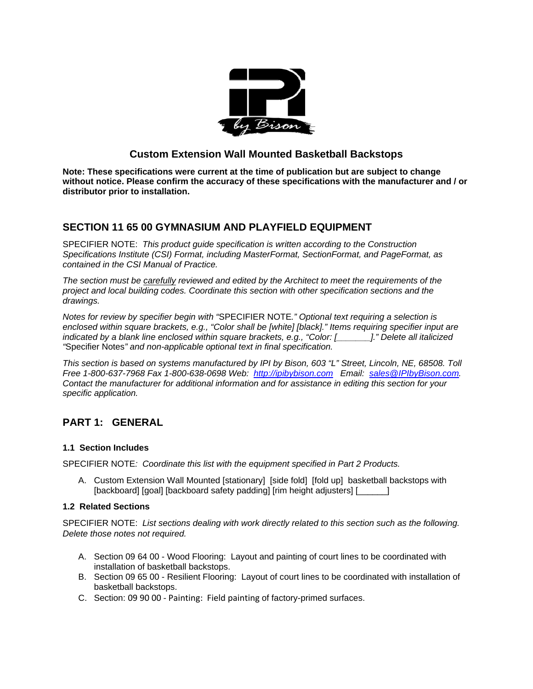

## **Custom Extension Wall Mounted Basketball Backstops**

**Note: These specifications were current at the time of publication but are subject to change without notice. Please confirm the accuracy of these specifications with the manufacturer and / or distributor prior to installation.**

## **SECTION 11 65 00 GYMNASIUM AND PLAYFIELD EQUIPMENT**

SPECIFIER NOTE: *This product guide specification is written according to the Construction Specifications Institute (CSI) Format, including MasterFormat, SectionFormat, and PageFormat, as contained in the CSI Manual of Practice.* 

*The section must be carefully reviewed and edited by the Architect to meet the requirements of the project and local building codes. Coordinate this section with other specification sections and the drawings.* 

*Notes for review by specifier begin with "*SPECIFIER NOTE*." Optional text requiring a selection is enclosed within square brackets, e.g., "Color shall be [white] [black]." Items requiring specifier input are indicated by a blank line enclosed within square brackets, e.g., "Color: [\_\_\_\_\_\_\_]." Delete all italicized "*Specifier Notes*" and non-applicable optional text in final specification.* 

*This section is based on systems manufactured by IPI by Bison, 603 "L" Street, Lincoln, NE, 68508. Toll Free 1-800-637-7968 Fax 1-800-638-0698 Web: http://ipibybison.com Email: sales@IPIbyBison.com. Contact the manufacturer for additional information and for assistance in editing this section for your specific application.* 

# **PART 1: GENERAL**

## **1.1 Section Includes**

SPECIFIER NOTE*: Coordinate this list with the equipment specified in Part 2 Products.* 

A. Custom Extension Wall Mounted [stationary] [side fold] [fold up] basketball backstops with [backboard] [goal] [backboard safety padding] [rim height adjusters] [[[[[[

## **1.2 Related Sections**

SPECIFIER NOTE: *List sections dealing with work directly related to this section such as the following. Delete those notes not required.* 

- A. Section 09 64 00 Wood Flooring: Layout and painting of court lines to be coordinated with installation of basketball backstops.
- B. Section 09 65 00 Resilient Flooring: Layout of court lines to be coordinated with installation of basketball backstops.
- C. Section: 09 90 00 ‐ Painting: Field painting of factory-primed surfaces.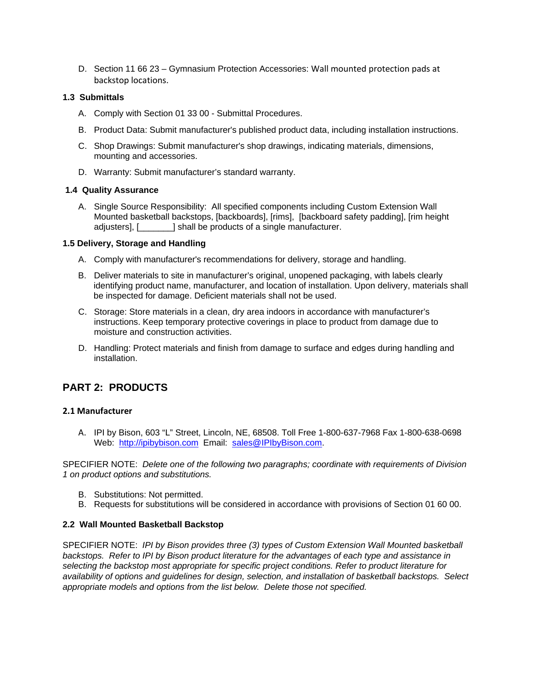D. Section 11 66 23 – Gymnasium Protection Accessories: Wall mounted protection pads at backstop locations.

#### **1.3 Submittals**

- A. Comply with Section 01 33 00 Submittal Procedures.
- B. Product Data: Submit manufacturer's published product data, including installation instructions.
- C. Shop Drawings: Submit manufacturer's shop drawings, indicating materials, dimensions, mounting and accessories.
- D. Warranty: Submit manufacturer's standard warranty.

#### **1.4 Quality Assurance**

A. Single Source Responsibility: All specified components including Custom Extension Wall Mounted basketball backstops, [backboards], [rims], [backboard safety padding], [rim height adjusters], [\_\_\_\_\_\_\_] shall be products of a single manufacturer.

#### **1.5 Delivery, Storage and Handling**

- A. Comply with manufacturer's recommendations for delivery, storage and handling.
- B. Deliver materials to site in manufacturer's original, unopened packaging, with labels clearly identifying product name, manufacturer, and location of installation. Upon delivery, materials shall be inspected for damage. Deficient materials shall not be used.
- C. Storage: Store materials in a clean, dry area indoors in accordance with manufacturer's instructions. Keep temporary protective coverings in place to product from damage due to moisture and construction activities.
- D. Handling: Protect materials and finish from damage to surface and edges during handling and installation.

## **PART 2: PRODUCTS**

#### **2.1 Manufacturer**

A. IPI by Bison, 603 "L" Street, Lincoln, NE, 68508. Toll Free 1-800-637-7968 Fax 1-800-638-0698 Web: http://ipibybison.com Email: sales@IPIbyBison.com.

SPECIFIER NOTE: *Delete one of the following two paragraphs; coordinate with requirements of Division 1 on product options and substitutions.* 

- B. Substitutions: Not permitted.
- B. Requests for substitutions will be considered in accordance with provisions of Section 01 60 00.

#### **2.2 Wall Mounted Basketball Backstop**

SPECIFIER NOTE: *IPI by Bison provides three (3) types of Custom Extension Wall Mounted basketball backstops. Refer to IPI by Bison product literature for the advantages of each type and assistance in selecting the backstop most appropriate for specific project conditions. Refer to product literature for availability of options and guidelines for design, selection, and installation of basketball backstops. Select appropriate models and options from the list below. Delete those not specified.*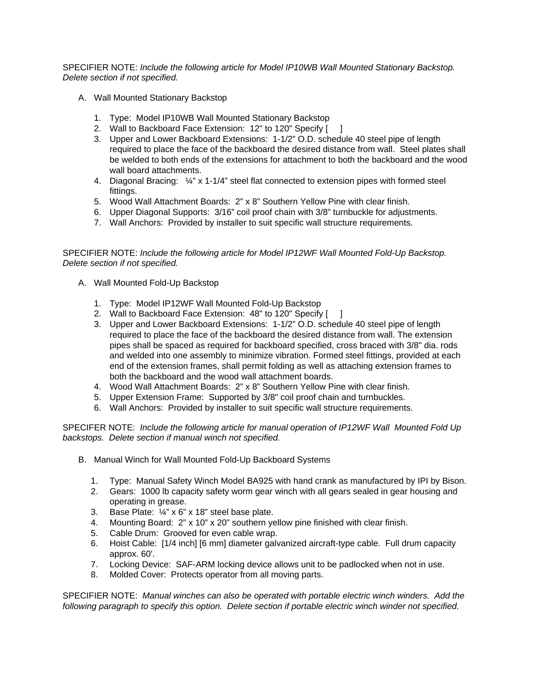SPECIFIER NOTE: *Include the following article for Model IP10WB Wall Mounted Stationary Backstop. Delete section if not specified.* 

- A. Wall Mounted Stationary Backstop
	- 1. Type: Model IP10WB Wall Mounted Stationary Backstop
	- 2. Wall to Backboard Face Extension: 12" to 120" Specify [
	- 3. Upper and Lower Backboard Extensions: 1-1/2" O.D. schedule 40 steel pipe of length required to place the face of the backboard the desired distance from wall. Steel plates shall be welded to both ends of the extensions for attachment to both the backboard and the wood wall board attachments.
	- 4. Diagonal Bracing: ¼" x 1-1/4" steel flat connected to extension pipes with formed steel fittings.
	- 5. Wood Wall Attachment Boards: 2" x 8" Southern Yellow Pine with clear finish.
	- 6. Upper Diagonal Supports: 3/16" coil proof chain with 3/8" turnbuckle for adjustments.
	- 7. Wall Anchors: Provided by installer to suit specific wall structure requirements.

## SPECIFIER NOTE: *Include the following article for Model IP12WF Wall Mounted Fold-Up Backstop. Delete section if not specified.*

- A. Wall Mounted Fold-Up Backstop
	- 1. Type: Model IP12WF Wall Mounted Fold-Up Backstop
	- 2. Wall to Backboard Face Extension: 48" to 120" Specify [ ]
	- 3. Upper and Lower Backboard Extensions: 1-1/2" O.D. schedule 40 steel pipe of length required to place the face of the backboard the desired distance from wall. The extension pipes shall be spaced as required for backboard specified, cross braced with 3/8" dia. rods and welded into one assembly to minimize vibration. Formed steel fittings, provided at each end of the extension frames, shall permit folding as well as attaching extension frames to both the backboard and the wood wall attachment boards.
	- 4. Wood Wall Attachment Boards: 2" x 8" Southern Yellow Pine with clear finish.
	- 5. Upper Extension Frame: Supported by 3/8" coil proof chain and turnbuckles.
	- 6. Wall Anchors: Provided by installer to suit specific wall structure requirements.

SPECIFER NOTE: *Include the following article for manual operation of IP12WF Wall Mounted Fold Up backstops. Delete section if manual winch not specified.*

- B. Manual Winch for Wall Mounted Fold-Up Backboard Systems
	- 1. Type: Manual Safety Winch Model BA925 with hand crank as manufactured by IPI by Bison.
	- 2. Gears: 1000 lb capacity safety worm gear winch with all gears sealed in gear housing and operating in grease.
	- 3. Base Plate: ¼" x 6" x 18" steel base plate.
	- 4. Mounting Board: 2" x 10" x 20" southern yellow pine finished with clear finish.
	- 5. Cable Drum: Grooved for even cable wrap.
	- 6. Hoist Cable: [1/4 inch] [6 mm] diameter galvanized aircraft-type cable. Full drum capacity approx. 60'.
	- 7. Locking Device: SAF-ARM locking device allows unit to be padlocked when not in use.
	- 8. Molded Cover: Protects operator from all moving parts.

SPECIFIER NOTE: *Manual winches can also be operated with portable electric winch winders. Add the following paragraph to specify this option. Delete section if portable electric winch winder not specified.*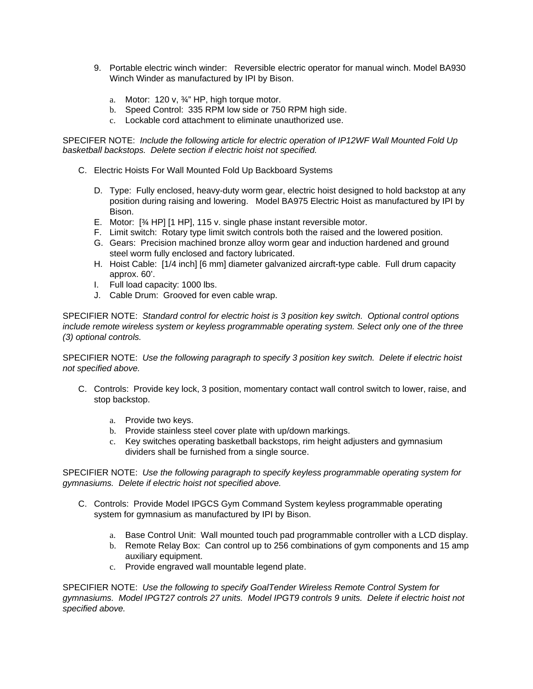- 9. Portable electric winch winder: Reversible electric operator for manual winch. Model BA930 Winch Winder as manufactured by IPI by Bison.
	- a. Motor: 120 v, ¾" HP, high torque motor.
	- b. Speed Control: 335 RPM low side or 750 RPM high side.
	- c. Lockable cord attachment to eliminate unauthorized use.

SPECIFER NOTE: *Include the following article for electric operation of IP12WF Wall Mounted Fold Up basketball backstops. Delete section if electric hoist not specified.*

- C. Electric Hoists For Wall Mounted Fold Up Backboard Systems
	- D. Type: Fully enclosed, heavy-duty worm gear, electric hoist designed to hold backstop at any position during raising and lowering. Model BA975 Electric Hoist as manufactured by IPI by Bison.
	- E. Motor: [¾ HP] [1 HP], 115 v. single phase instant reversible motor.
	- F. Limit switch: Rotary type limit switch controls both the raised and the lowered position.
	- G. Gears: Precision machined bronze alloy worm gear and induction hardened and ground steel worm fully enclosed and factory lubricated.
	- H. Hoist Cable: [1/4 inch] [6 mm] diameter galvanized aircraft-type cable. Full drum capacity approx. 60'.
	- I. Full load capacity: 1000 lbs.
	- J. Cable Drum: Grooved for even cable wrap.

SPECIFIER NOTE: *Standard control for electric hoist is 3 position key switch. Optional control options include remote wireless system or keyless programmable operating system. Select only one of the three (3) optional controls.* 

SPECIFIER NOTE: *Use the following paragraph to specify 3 position key switch. Delete if electric hoist not specified above.* 

- C. Controls: Provide key lock, 3 position, momentary contact wall control switch to lower, raise, and stop backstop.
	- a. Provide two keys.
	- b. Provide stainless steel cover plate with up/down markings.
	- c. Key switches operating basketball backstops, rim height adjusters and gymnasium dividers shall be furnished from a single source.

SPECIFIER NOTE: *Use the following paragraph to specify keyless programmable operating system for gymnasiums. Delete if electric hoist not specified above.* 

- C. Controls: Provide Model IPGCS Gym Command System keyless programmable operating system for gymnasium as manufactured by IPI by Bison.
	- a. Base Control Unit: Wall mounted touch pad programmable controller with a LCD display.
	- b. Remote Relay Box: Can control up to 256 combinations of gym components and 15 amp auxiliary equipment.
	- c. Provide engraved wall mountable legend plate.

SPECIFIER NOTE: *Use the following to specify GoalTender Wireless Remote Control System for gymnasiums. Model IPGT27 controls 27 units. Model IPGT9 controls 9 units. Delete if electric hoist not specified above.*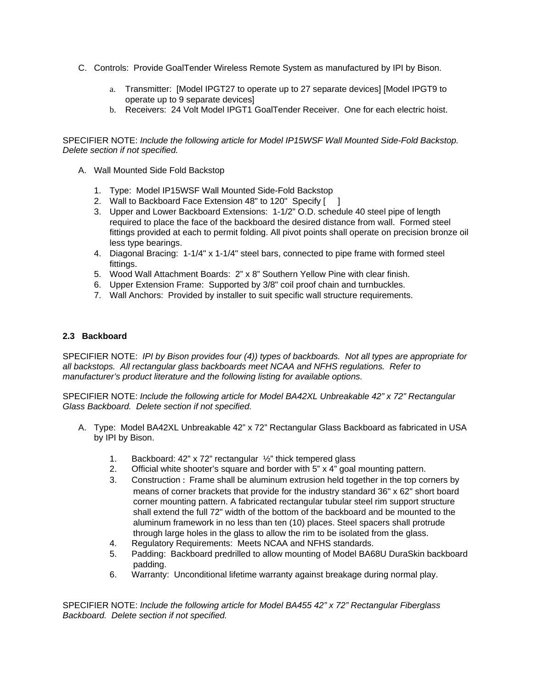- C. Controls: Provide GoalTender Wireless Remote System as manufactured by IPI by Bison.
	- a. Transmitter: [Model IPGT27 to operate up to 27 separate devices] [Model IPGT9 to operate up to 9 separate devices]
	- b. Receivers: 24 Volt Model IPGT1 GoalTender Receiver. One for each electric hoist.

SPECIFIER NOTE: *Include the following article for Model IP15WSF Wall Mounted Side-Fold Backstop. Delete section if not specified.* 

- A. Wall Mounted Side Fold Backstop
	- 1. Type: Model IP15WSF Wall Mounted Side-Fold Backstop
	- 2. Wall to Backboard Face Extension 48" to 120" Specify [ ]
	- 3. Upper and Lower Backboard Extensions: 1-1/2" O.D. schedule 40 steel pipe of length required to place the face of the backboard the desired distance from wall. Formed steel fittings provided at each to permit folding. All pivot points shall operate on precision bronze oil less type bearings.
	- 4. Diagonal Bracing: 1-1/4" x 1-1/4" steel bars, connected to pipe frame with formed steel fittings.
	- 5. Wood Wall Attachment Boards: 2" x 8" Southern Yellow Pine with clear finish.
	- 6. Upper Extension Frame: Supported by 3/8" coil proof chain and turnbuckles.
	- 7. Wall Anchors: Provided by installer to suit specific wall structure requirements.

#### **2.3 Backboard**

SPECIFIER NOTE: *IPI by Bison provides four (4)) types of backboards. Not all types are appropriate for all backstops. All rectangular glass backboards meet NCAA and NFHS regulations. Refer to manufacturer's product literature and the following listing for available options.* 

SPECIFIER NOTE: *Include the following article for Model BA42XL Unbreakable 42" x 72" Rectangular Glass Backboard. Delete section if not specified.* 

- A. Type: Model BA42XL Unbreakable 42" x 72" Rectangular Glass Backboard as fabricated in USA by IPI by Bison.
	- 1. Backboard: 42" x 72" rectangular ½" thick tempered glass
	- 2. Official white shooter's square and border with 5" x 4" goal mounting pattern.
	- 3. Construction : Frame shall be aluminum extrusion held together in the top corners by means of corner brackets that provide for the industry standard 36" x 62" short board corner mounting pattern. A fabricated rectangular tubular steel rim support structure shall extend the full 72" width of the bottom of the backboard and be mounted to the aluminum framework in no less than ten (10) places. Steel spacers shall protrude through large holes in the glass to allow the rim to be isolated from the glass.
	- 4. Regulatory Requirements: Meets NCAA and NFHS standards.
	- 5. Padding: Backboard predrilled to allow mounting of Model BA68U DuraSkin backboard padding.
	- 6. Warranty: Unconditional lifetime warranty against breakage during normal play.

SPECIFIER NOTE: *Include the following article for Model BA455 42" x 72" Rectangular Fiberglass Backboard. Delete section if not specified.*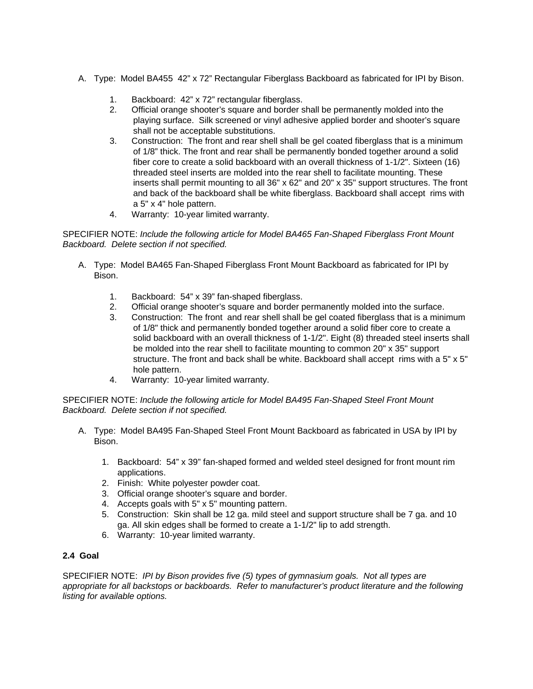- A. Type: Model BA455 42" x 72" Rectangular Fiberglass Backboard as fabricated for IPI by Bison.
	- 1. Backboard: 42" x 72" rectangular fiberglass.
	- 2. Official orange shooter's square and border shall be permanently molded into the playing surface. Silk screened or vinyl adhesive applied border and shooter's square shall not be acceptable substitutions.
	- 3. Construction: The front and rear shell shall be gel coated fiberglass that is a minimum of 1/8" thick. The front and rear shall be permanently bonded together around a solid fiber core to create a solid backboard with an overall thickness of 1-1/2". Sixteen (16) threaded steel inserts are molded into the rear shell to facilitate mounting. These inserts shall permit mounting to all 36" x 62" and 20" x 35" support structures. The front and back of the backboard shall be white fiberglass. Backboard shall accept rims with a 5" x 4" hole pattern.
	- 4. Warranty: 10-year limited warranty.

### SPECIFIER NOTE: *Include the following article for Model BA465 Fan-Shaped Fiberglass Front Mount Backboard. Delete section if not specified.*

- A. Type: Model BA465 Fan-Shaped Fiberglass Front Mount Backboard as fabricated for IPI by Bison.
	- 1. Backboard: 54" x 39" fan-shaped fiberglass.
	- 2. Official orange shooter's square and border permanently molded into the surface.
	- 3. Construction: The front and rear shell shall be gel coated fiberglass that is a minimum of 1/8" thick and permanently bonded together around a solid fiber core to create a solid backboard with an overall thickness of 1-1/2". Eight (8) threaded steel inserts shall be molded into the rear shell to facilitate mounting to common 20" x 35" support structure. The front and back shall be white. Backboard shall accept rims with a 5" x 5" hole pattern.
	- 4. Warranty: 10-year limited warranty.

### SPECIFIER NOTE: *Include the following article for Model BA495 Fan-Shaped Steel Front Mount Backboard. Delete section if not specified.*

- A. Type: Model BA495 Fan-Shaped Steel Front Mount Backboard as fabricated in USA by IPI by Bison.
	- 1. Backboard: 54" x 39" fan-shaped formed and welded steel designed for front mount rim applications.
	- 2. Finish: White polyester powder coat.
	- 3. Official orange shooter's square and border.
	- 4. Accepts goals with 5" x 5" mounting pattern.
	- 5. Construction: Skin shall be 12 ga. mild steel and support structure shall be 7 ga. and 10 ga. All skin edges shall be formed to create a 1-1/2" lip to add strength.
	- 6. Warranty: 10-year limited warranty.

## **2.4 Goal**

SPECIFIER NOTE: *IPI by Bison provides five (5) types of gymnasium goals. Not all types are appropriate for all backstops or backboards. Refer to manufacturer's product literature and the following listing for available options.*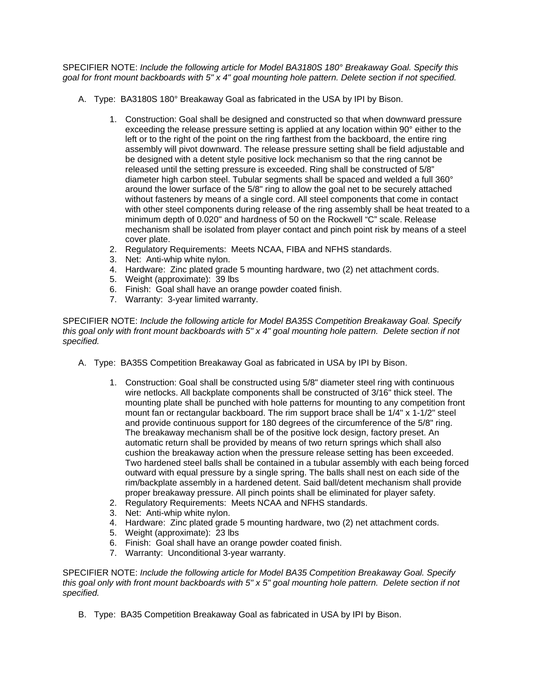SPECIFIER NOTE: *Include the following article for Model BA3180S 180° Breakaway Goal. Specify this goal for front mount backboards with 5" x 4" goal mounting hole pattern. Delete section if not specified.* 

- A. Type: BA3180S 180° Breakaway Goal as fabricated in the USA by IPI by Bison.
	- 1. Construction: Goal shall be designed and constructed so that when downward pressure exceeding the release pressure setting is applied at any location within 90° either to the left or to the right of the point on the ring farthest from the backboard, the entire ring assembly will pivot downward. The release pressure setting shall be field adjustable and be designed with a detent style positive lock mechanism so that the ring cannot be released until the setting pressure is exceeded. Ring shall be constructed of 5/8" diameter high carbon steel. Tubular segments shall be spaced and welded a full 360° around the lower surface of the 5/8" ring to allow the goal net to be securely attached without fasteners by means of a single cord. All steel components that come in contact with other steel components during release of the ring assembly shall be heat treated to a minimum depth of 0.020" and hardness of 50 on the Rockwell "C" scale. Release mechanism shall be isolated from player contact and pinch point risk by means of a steel cover plate.
	- 2. Regulatory Requirements: Meets NCAA, FIBA and NFHS standards.
	- 3. Net: Anti-whip white nylon.
	- 4. Hardware: Zinc plated grade 5 mounting hardware, two (2) net attachment cords.
	- 5. Weight (approximate): 39 lbs
	- 6. Finish: Goal shall have an orange powder coated finish.
	- 7. Warranty: 3-year limited warranty.

SPECIFIER NOTE: *Include the following article for Model BA35S Competition Breakaway Goal. Specify this goal only with front mount backboards with 5" x 4" goal mounting hole pattern. Delete section if not specified.* 

- A. Type: BA35S Competition Breakaway Goal as fabricated in USA by IPI by Bison.
	- 1. Construction: Goal shall be constructed using 5/8" diameter steel ring with continuous wire netlocks. All backplate components shall be constructed of 3/16" thick steel. The mounting plate shall be punched with hole patterns for mounting to any competition front mount fan or rectangular backboard. The rim support brace shall be 1/4" x 1-1/2" steel and provide continuous support for 180 degrees of the circumference of the 5/8" ring. The breakaway mechanism shall be of the positive lock design, factory preset. An automatic return shall be provided by means of two return springs which shall also cushion the breakaway action when the pressure release setting has been exceeded. Two hardened steel balls shall be contained in a tubular assembly with each being forced outward with equal pressure by a single spring. The balls shall nest on each side of the rim/backplate assembly in a hardened detent. Said ball/detent mechanism shall provide proper breakaway pressure. All pinch points shall be eliminated for player safety.
	- 2. Regulatory Requirements: Meets NCAA and NFHS standards.
	- 3. Net: Anti-whip white nylon.
	- 4. Hardware: Zinc plated grade 5 mounting hardware, two (2) net attachment cords.
	- 5. Weight (approximate): 23 lbs
	- 6. Finish: Goal shall have an orange powder coated finish.
	- 7. Warranty: Unconditional 3-year warranty.

SPECIFIER NOTE: *Include the following article for Model BA35 Competition Breakaway Goal. Specify this goal only with front mount backboards with 5" x 5" goal mounting hole pattern. Delete section if not specified.* 

B. Type: BA35 Competition Breakaway Goal as fabricated in USA by IPI by Bison.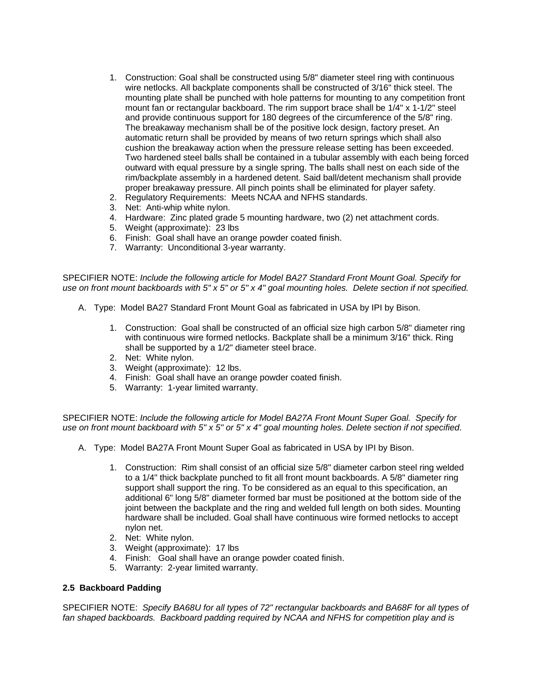- 1. Construction: Goal shall be constructed using 5/8" diameter steel ring with continuous wire netlocks. All backplate components shall be constructed of 3/16" thick steel. The mounting plate shall be punched with hole patterns for mounting to any competition front mount fan or rectangular backboard. The rim support brace shall be 1/4" x 1-1/2" steel and provide continuous support for 180 degrees of the circumference of the 5/8" ring. The breakaway mechanism shall be of the positive lock design, factory preset. An automatic return shall be provided by means of two return springs which shall also cushion the breakaway action when the pressure release setting has been exceeded. Two hardened steel balls shall be contained in a tubular assembly with each being forced outward with equal pressure by a single spring. The balls shall nest on each side of the rim/backplate assembly in a hardened detent. Said ball/detent mechanism shall provide proper breakaway pressure. All pinch points shall be eliminated for player safety.
- 2. Regulatory Requirements: Meets NCAA and NFHS standards.
- 3. Net: Anti-whip white nylon.
- 4. Hardware: Zinc plated grade 5 mounting hardware, two (2) net attachment cords.
- 5. Weight (approximate): 23 lbs
- 6. Finish: Goal shall have an orange powder coated finish.
- 7. Warranty: Unconditional 3-year warranty.

SPECIFIER NOTE: *Include the following article for Model BA27 Standard Front Mount Goal. Specify for use on front mount backboards with 5" x 5" or 5" x 4" goal mounting holes. Delete section if not specified.* 

- A. Type: Model BA27 Standard Front Mount Goal as fabricated in USA by IPI by Bison.
	- 1. Construction: Goal shall be constructed of an official size high carbon 5/8" diameter ring with continuous wire formed netlocks. Backplate shall be a minimum 3/16" thick. Ring shall be supported by a 1/2" diameter steel brace.
	- 2. Net: White nylon.
	- 3. Weight (approximate): 12 lbs.
	- 4. Finish: Goal shall have an orange powder coated finish.
	- 5. Warranty: 1-year limited warranty.

SPECIFIER NOTE: *Include the following article for Model BA27A Front Mount Super Goal. Specify for use on front mount backboard with 5" x 5" or 5" x 4" goal mounting holes. Delete section if not specified.* 

- A. Type: Model BA27A Front Mount Super Goal as fabricated in USA by IPI by Bison.
	- 1. Construction: Rim shall consist of an official size 5/8" diameter carbon steel ring welded to a 1/4" thick backplate punched to fit all front mount backboards. A 5/8" diameter ring support shall support the ring. To be considered as an equal to this specification, an additional 6" long 5/8" diameter formed bar must be positioned at the bottom side of the joint between the backplate and the ring and welded full length on both sides. Mounting hardware shall be included. Goal shall have continuous wire formed netlocks to accept nylon net.
	- 2. Net: White nylon.
	- 3. Weight (approximate): 17 lbs
	- 4. Finish: Goal shall have an orange powder coated finish.
	- 5. Warranty: 2-year limited warranty.

#### **2.5 Backboard Padding**

SPECIFIER NOTE: *Specify BA68U for all types of 72" rectangular backboards and BA68F for all types of fan shaped backboards. Backboard padding required by NCAA and NFHS for competition play and is*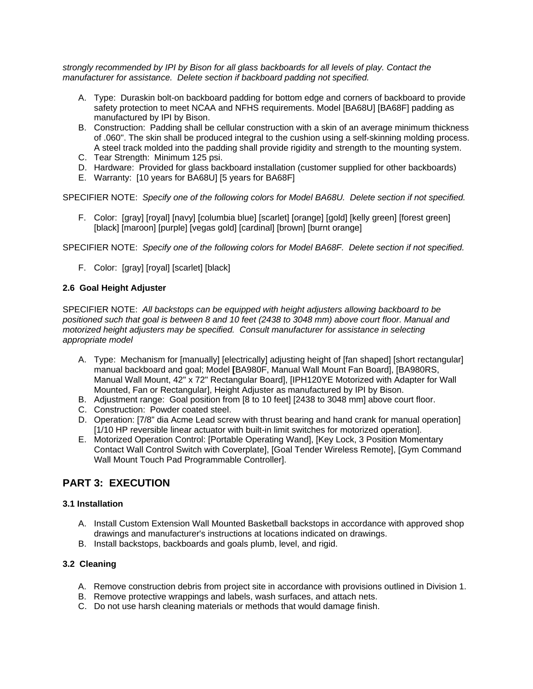*strongly recommended by IPI by Bison for all glass backboards for all levels of play. Contact the manufacturer for assistance. Delete section if backboard padding not specified.* 

- A. Type: Duraskin bolt-on backboard padding for bottom edge and corners of backboard to provide safety protection to meet NCAA and NFHS requirements. Model [BA68U] [BA68F] padding as manufactured by IPI by Bison.
- B. Construction: Padding shall be cellular construction with a skin of an average minimum thickness of .060". The skin shall be produced integral to the cushion using a self-skinning molding process. A steel track molded into the padding shall provide rigidity and strength to the mounting system.
- C. Tear Strength: Minimum 125 psi.
- D. Hardware: Provided for glass backboard installation (customer supplied for other backboards)
- E. Warranty: [10 years for BA68U] [5 years for BA68F]

SPECIFIER NOTE: *Specify one of the following colors for Model BA68U. Delete section if not specified.* 

F. Color: [gray] [royal] [navy] [columbia blue] [scarlet] [orange] [gold] [kelly green] [forest green] [black] [maroon] [purple] [vegas gold] [cardinal] [brown] [burnt orange]

SPECIFIER NOTE: *Specify one of the following colors for Model BA68F. Delete section if not specified.* 

F. Color: [gray] [royal] [scarlet] [black]

## **2.6 Goal Height Adjuster**

SPECIFIER NOTE: *All backstops can be equipped with height adjusters allowing backboard to be positioned such that goal is between 8 and 10 feet (2438 to 3048 mm) above court floor. Manual and motorized height adjusters may be specified. Consult manufacturer for assistance in selecting appropriate model*

- A. Type: Mechanism for [manually] [electrically] adjusting height of [fan shaped] [short rectangular] manual backboard and goal; Model **[**BA980F, Manual Wall Mount Fan Board], [BA980RS, Manual Wall Mount, 42" x 72" Rectangular Board], [IPH120YE Motorized with Adapter for Wall Mounted, Fan or Rectangular], Height Adjuster as manufactured by IPI by Bison.
- B. Adjustment range: Goal position from [8 to 10 feet] [2438 to 3048 mm] above court floor.
- C. Construction: Powder coated steel.
- D. Operation: [7/8" dia Acme Lead screw with thrust bearing and hand crank for manual operation] [1/10 HP reversible linear actuator with built-in limit switches for motorized operation].
- E. Motorized Operation Control: [Portable Operating Wand], [Key Lock, 3 Position Momentary Contact Wall Control Switch with Coverplate], [Goal Tender Wireless Remote], [Gym Command Wall Mount Touch Pad Programmable Controller].

# **PART 3: EXECUTION**

## **3.1 Installation**

- A. Install Custom Extension Wall Mounted Basketball backstops in accordance with approved shop drawings and manufacturer's instructions at locations indicated on drawings.
- B. Install backstops, backboards and goals plumb, level, and rigid.

## **3.2 Cleaning**

- A. Remove construction debris from project site in accordance with provisions outlined in Division 1.
- B. Remove protective wrappings and labels, wash surfaces, and attach nets.
- C. Do not use harsh cleaning materials or methods that would damage finish.